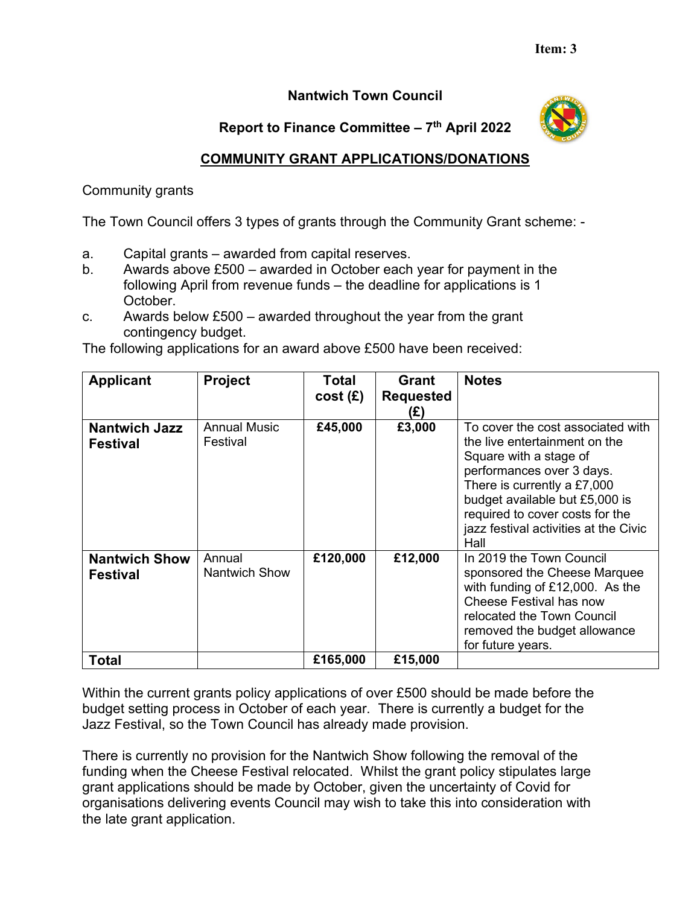## **Nantwich Town Council**

## **Report to Finance Committee – 7th April 2022**



## **COMMUNITY GRANT APPLICATIONS/DONATIONS**

Community grants

The Town Council offers 3 types of grants through the Community Grant scheme: -

- a. Capital grants awarded from capital reserves.
- b. Awards above £500 awarded in October each year for payment in the following April from revenue funds – the deadline for applications is 1 October.
- c. Awards below  $£500 -$  awarded throughout the year from the grant contingency budget.

The following applications for an award above £500 have been received:

| <b>Applicant</b>                        | <b>Project</b>                  | <b>Total</b><br>cost(E) | Grant<br><b>Requested</b><br>(£) | <b>Notes</b>                                                                                                                                                                                                                                                                   |
|-----------------------------------------|---------------------------------|-------------------------|----------------------------------|--------------------------------------------------------------------------------------------------------------------------------------------------------------------------------------------------------------------------------------------------------------------------------|
| <b>Nantwich Jazz</b><br><b>Festival</b> | <b>Annual Music</b><br>Festival | £45,000                 | £3,000                           | To cover the cost associated with<br>the live entertainment on the<br>Square with a stage of<br>performances over 3 days.<br>There is currently a £7,000<br>budget available but £5,000 is<br>required to cover costs for the<br>jazz festival activities at the Civic<br>Hall |
| <b>Nantwich Show</b><br><b>Festival</b> | Annual<br>Nantwich Show         | £120,000                | £12,000                          | In 2019 the Town Council<br>sponsored the Cheese Marquee<br>with funding of £12,000. As the<br>Cheese Festival has now<br>relocated the Town Council<br>removed the budget allowance<br>for future years.                                                                      |
| <b>Total</b>                            |                                 | £165,000                | £15,000                          |                                                                                                                                                                                                                                                                                |

Within the current grants policy applications of over £500 should be made before the budget setting process in October of each year. There is currently a budget for the Jazz Festival, so the Town Council has already made provision.

There is currently no provision for the Nantwich Show following the removal of the funding when the Cheese Festival relocated. Whilst the grant policy stipulates large grant applications should be made by October, given the uncertainty of Covid for organisations delivering events Council may wish to take this into consideration with the late grant application.